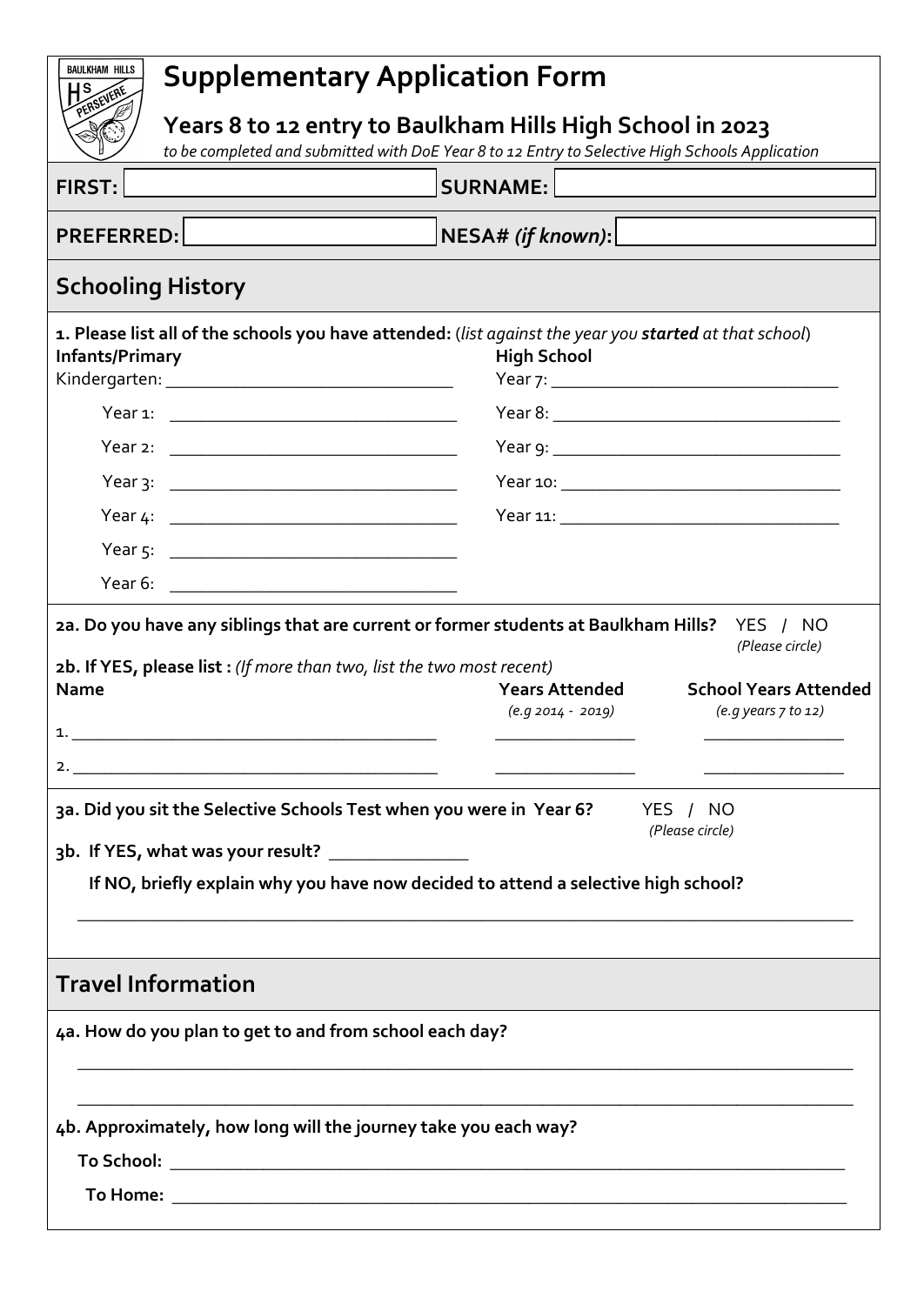| <b>BAULKHAM HILLS</b><br><b>Supplementary Application Form</b><br>IS.                                                                                                           |                                                                                                                                                                                                         |                                                                                    |  |
|---------------------------------------------------------------------------------------------------------------------------------------------------------------------------------|---------------------------------------------------------------------------------------------------------------------------------------------------------------------------------------------------------|------------------------------------------------------------------------------------|--|
| Years 8 to 12 entry to Baulkham Hills High School in 2023<br>to be completed and submitted with DoE Year 8 to 12 Entry to Selective High Schools Application                    |                                                                                                                                                                                                         |                                                                                    |  |
| <b>FIRST:</b>                                                                                                                                                                   | <b>SURNAME:</b>                                                                                                                                                                                         |                                                                                    |  |
| PREFERRED: No. 2004                                                                                                                                                             | NESA# (if known): <u>_________________</u>                                                                                                                                                              |                                                                                    |  |
| <b>Schooling History</b>                                                                                                                                                        |                                                                                                                                                                                                         |                                                                                    |  |
| Infants/Primary                                                                                                                                                                 | 1. Please list all of the schools you have attended: (list against the year you started at that school)<br><b>High School</b>                                                                           |                                                                                    |  |
|                                                                                                                                                                                 |                                                                                                                                                                                                         |                                                                                    |  |
| Year 2: <u>__________________________________</u>                                                                                                                               |                                                                                                                                                                                                         |                                                                                    |  |
|                                                                                                                                                                                 |                                                                                                                                                                                                         |                                                                                    |  |
|                                                                                                                                                                                 |                                                                                                                                                                                                         |                                                                                    |  |
|                                                                                                                                                                                 |                                                                                                                                                                                                         |                                                                                    |  |
|                                                                                                                                                                                 |                                                                                                                                                                                                         |                                                                                    |  |
| 2b. If YES, please list : (If more than two, list the two most recent)<br><b>Name</b><br>1.<br>2. $\overline{\phantom{a}}$<br>3b. If YES, what was your result? _______________ | <b>Years Attended</b><br>(e.g 2014 - 2019)<br>3a. Did you sit the Selective Schools Test when you were in Year 6?<br>If NO, briefly explain why you have now decided to attend a selective high school? | <b>School Years Attended</b><br>(e.g years 7 to 12)<br>YES / NO<br>(Please circle) |  |
| <b>Travel Information</b><br>4a. How do you plan to get to and from school each day?                                                                                            |                                                                                                                                                                                                         |                                                                                    |  |
| 4b. Approximately, how long will the journey take you each way?                                                                                                                 |                                                                                                                                                                                                         |                                                                                    |  |
|                                                                                                                                                                                 |                                                                                                                                                                                                         |                                                                                    |  |